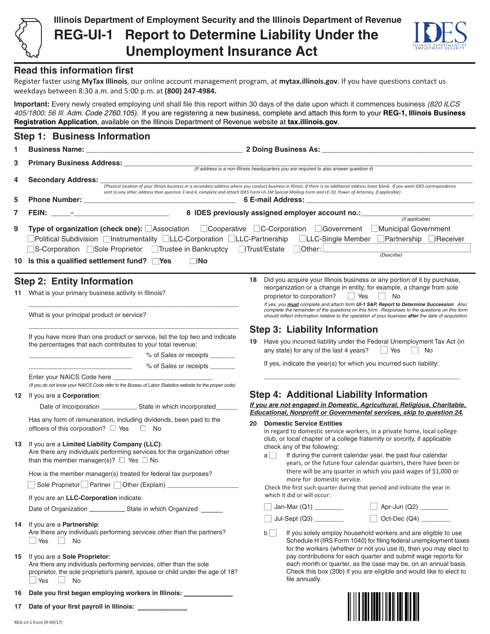

<u>HIII MATHII MATHII</u>

## **Read this information first**

Register faster using **MyTax Illinois**, our online account management program, at **mytax.illinois.gov**. If you have questions contact us weekdays between 8:30 a.m. and 5:00 p.m. at **(800) 247-4984.** 

**Important:** Every newly created employing unit shall file this report within 30 days of the date upon which it commences business *(820 ILCS 405/1800; 56 Ill. Adm. Code 2760.105).* If you are registering a new business, complete and attach this form to your **REG-1, Illinois Business Registration Application**, available on the Illinois Department of Revenue website at **tax.illinois.gov**.

|     | <b>Step 1: Business Information</b>                                                                                                                                                                                                                                                                                                                                                                                            |                                                                                                                                                                                                                                                     |  |  |
|-----|--------------------------------------------------------------------------------------------------------------------------------------------------------------------------------------------------------------------------------------------------------------------------------------------------------------------------------------------------------------------------------------------------------------------------------|-----------------------------------------------------------------------------------------------------------------------------------------------------------------------------------------------------------------------------------------------------|--|--|
| 1.  |                                                                                                                                                                                                                                                                                                                                                                                                                                |                                                                                                                                                                                                                                                     |  |  |
| 3   |                                                                                                                                                                                                                                                                                                                                                                                                                                |                                                                                                                                                                                                                                                     |  |  |
| 4   | (If address is a non-Illinois headquarters you are required to also answer question 4)<br>Secondary Address: _<br>(Physical location of your Illinois business or a secondary address where you conduct business in Illinois. If there is no additional address leave blank. If you want IDES correspondence                                                                                                                   |                                                                                                                                                                                                                                                     |  |  |
| 5   |                                                                                                                                                                                                                                                                                                                                                                                                                                | sent to any other address than question 3 and 4, complete and attach IDES Form UI-1M Special Mailing Form and LE-10, Power of Attorney, if applicable)<br>6 E-mail Address:                                                                         |  |  |
| 7   | (If applicable)<br>Type of organization (check one): △ Association △ Cooperative △ C-Corporation △ Government △ Municipal Government<br>Political Subdivision □Instrumentality □LLC-Corporation □LLC-Partnership □LLC-Single Member □Partnership □Receiver<br>S-Corporation Sole Proprietor Trustee in Bankruptcy Trust/Estate<br>Other: L<br>(Describe)<br>$\square$ No<br>10 Is this a qualified settlement fund? $\Box$ Yes |                                                                                                                                                                                                                                                     |  |  |
| 9   |                                                                                                                                                                                                                                                                                                                                                                                                                                |                                                                                                                                                                                                                                                     |  |  |
|     | <b>Step 2: Entity Information</b>                                                                                                                                                                                                                                                                                                                                                                                              | Did you acquire your Illinois business or any portion of it by purchase,<br>18                                                                                                                                                                      |  |  |
| 11. | What is your primary business activity in Illinois?                                                                                                                                                                                                                                                                                                                                                                            | reorganization or a change in entity; for example, a change from sole<br>Yes<br>No<br>proprietor to corporation?<br>If yes, you must complete and attach form UI-1 S&P, Report to Determine Succession. Also                                        |  |  |
|     | What is your principal product or service?                                                                                                                                                                                                                                                                                                                                                                                     | complete the remainder of the questions on this form. Responses to the questions on this form<br>should reflect information relative to the operation of your business after the date of acquisition.                                               |  |  |
|     | If you have more than one product or service, list the top two and indicate<br>the percentages that each contributes to your total revenue:<br>% of Sales or receipts _______                                                                                                                                                                                                                                                  | <b>Step 3: Liability Information</b><br>19 Have you incurred liability under the Federal Unemployment Tax Act (in<br>any state) for any of the last 4 years? $\Box$ Yes $\Box$<br>No                                                                |  |  |
|     | % of Sales or receipts                                                                                                                                                                                                                                                                                                                                                                                                         | If yes, indicate the year(s) for which you incurred such liability:                                                                                                                                                                                 |  |  |
|     | Enter your NAICS Code here<br>(If you do not know your NAICS Code refer to the Bureau of Labor Statistics website for the proper code)                                                                                                                                                                                                                                                                                         |                                                                                                                                                                                                                                                     |  |  |
| 12  | If you are a Corporation:                                                                                                                                                                                                                                                                                                                                                                                                      | <b>Step 4: Additional Liability Information</b>                                                                                                                                                                                                     |  |  |
|     | Date of Incorporation State in which incorporated                                                                                                                                                                                                                                                                                                                                                                              | If you are not engaged in Domestic, Agricultural, Religious, Charitable,<br>Educational, Nonprofit or Governmental services, skip to question 24.                                                                                                   |  |  |
|     | Has any form of remuneration, including dividends, been paid to the<br>officers of this corporation? $\Box$ Yes $\Box$ No                                                                                                                                                                                                                                                                                                      | <b>Domestic Service Entities</b><br>20<br>In regard to domestic service workers, in a private home, local college                                                                                                                                   |  |  |
| 13  | If you are a Limited Liability Company (LLC):<br>Are there any individuals performing services for the organization other<br>than the member manager(s)? $\Box$ Yes $\Box$ No                                                                                                                                                                                                                                                  | club, or local chapter of a college fraternity or sorority, if applicable<br>check any of the following:<br>If during the current calendar year, the past four calendar<br>a    <br>years, or the future four calendar quarters, there have been or |  |  |
|     | How is the member manager(s) treated for federal tax purposes?                                                                                                                                                                                                                                                                                                                                                                 | there will be any quarter in which you paid wages of \$1,000 or<br>more for domestic service.                                                                                                                                                       |  |  |
|     |                                                                                                                                                                                                                                                                                                                                                                                                                                | Check the first such quarter during that period and indicate the year in                                                                                                                                                                            |  |  |
|     | If you are an LLC-Corporation indicate:                                                                                                                                                                                                                                                                                                                                                                                        | which it did or will occur:                                                                                                                                                                                                                         |  |  |
|     |                                                                                                                                                                                                                                                                                                                                                                                                                                | Apr-Jun (Q2) ________                                                                                                                                                                                                                               |  |  |
|     | 14 If you are a Partnership:<br>Are there any individuals performing services other than the partners?<br>$\Box$ Yes<br>No                                                                                                                                                                                                                                                                                                     | Jul-Sept (Q3) ________<br>b<br>If you solely employ household workers and are eligible to use<br>Schedule H (IRS Form 1040) for filing federal unemployment taxes<br>for the workers (whether or not you use it), then you may elect to             |  |  |
| 15  | If you are a Sole Proprietor:<br>Are there any individuals performing services, other than the sole<br>proprietor, the sole proprietor's parent, spouse or child under the age of 18?<br>⊥ Yes<br>No                                                                                                                                                                                                                           | pay contributions for each quarter and submit wage reports for<br>each month or quarter, as the case may be, on an annual basis.<br>Check this box (20b) if you are eligible and would like to elect to<br>file annually.                           |  |  |
|     | 16 Date you first began employing workers in Illinois:                                                                                                                                                                                                                                                                                                                                                                         |                                                                                                                                                                                                                                                     |  |  |

17 Date of your first payroll in Illinois:

REG-UI-1 front (R-09/17)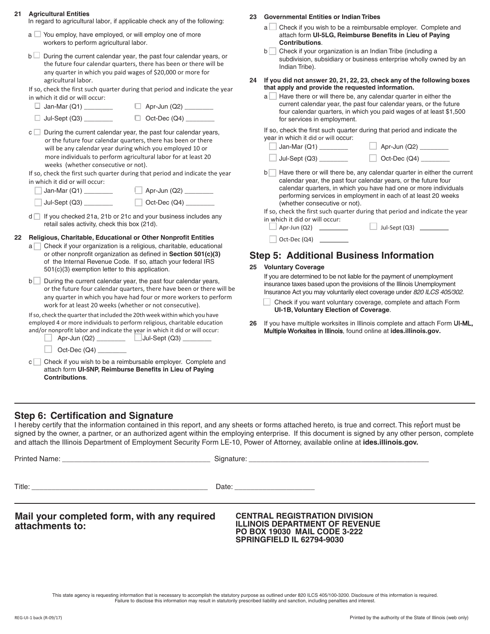### **21 Agricultural Entities**

In regard to agricultural labor, if applicable check any of the following:

- $a \square$  You employ, have employed, or will employ one of more workers to perform agricultural labor.
- $b \Box$  During the current calendar year, the past four calendar years, or the future four calendar quarters, there has been or there will be any quarter in which you paid wages of \$20,000 or more for agricultural labor.

If so, check the first such quarter during that period and indicate the year in which it did or will occur:

| $\Box$ Jan-Mar (Q1) | $\Box$ Apr-Jun (Q2) |
|---------------------|---------------------|
|---------------------|---------------------|

 $\Box$  Jul-Sept  $(Q3)$  \_\_\_\_\_\_\_\_  $\Box$  Oct-Dec  $(Q4)$  \_\_\_\_

 $c \Box$  During the current calendar year, the past four calendar years, or the future four calendar quarters, there has been or there will be any calendar year during which you employed 10 or more individuals to perform agricultural labor for at least 20 weeks (whether consecutive or not).

If so, check the first such quarter during that period and indicate the year in which it did or will occur:

| Jan-Mar (Q1)  | Apr-Jun (Q2) |
|---------------|--------------|
| Jul-Sept (Q3) | Oct-Dec (Q4) |

 $d \Box$  If you checked 21a, 21b or 21c and your business includes any retail sales activity, check this box (21d).

### **22 Religious, Charitable, Educational or Other Nonprofit Entities**

 $a$  Check if your organization is a religious, charitable, educational or other nonprofit organization as defined in **Section 501(c)(3)** of the Internal Revenue Code. If so, attach your federal IRS 501(c)(3) exemption letter to this application.

 $b$  During the current calendar year, the past four calendar years, or the future four calendar quarters, there have been or there will be any quarter in which you have had four or more workers to perform work for at least 20 weeks (whether or not consecutive).

If so, check the quarter that included the 20th week within which you have employed 4 or more individuals to perform religious, charitable education and/or nonprofit labor and indicate the year in which it did or will occur:

| Apr-Jun (Q2) | $\vert$ Jul-Sept (Q3) |  |
|--------------|-----------------------|--|
|              |                       |  |

- $\Box$  Oct-Dec (Q4)  $\Box$
- $c \cap C$  Check if you wish to be a reimbursable employer. Complete and attach form **UI-5NP, Reimburse Benefits in Lieu of Paying Contributions**.

**23 Governmental Entities or Indian Tribes**

- $a$   $\Box$  Check if you wish to be a reimbursable employer. Complete and attach form **UI-5LG, Reimburse Benefits in Lieu of Paying Contributions**.
- $b \Box$  Check if your organization is an Indian Tribe (including a subdivision, subsidiary or business enterprise wholly owned by an Indian Tribe).
- **24 If you did not answer 20, 21, 22, 23, check any of the following boxes that apply and provide the requested information.**
	- $a$  Have there or will there be, any calendar quarter in either the current calendar year, the past four calendar years, or the future four calendar quarters, in which you paid wages of at least \$1,500 for services in employment.

If so, check the first such quarter during that period and indicate the year in which it did or will occur:

| Jan-Mar (Q1)  | Apr-Jun (Q2) |
|---------------|--------------|
| Jul-Sept (Q3) | Oct-Dec (Q4) |

 $b$  Have there or will there be, any calendar quarter in either the current calendar year, the past four calendar years, or the future four calendar quarters, in which you have had one or more individuals performing services in employment in each of at least 20 weeks (whether consecutive or not).

If so, check the first such quarter during that period and indicate the year in which it did or will occur:

 $\Box$  Jul-Sept (Q3)  $\_\_\_\_\_\_\_\_\_\_\_\_\_\_\_\_\_\_\_\_$ 

| Apr-Jun (Q2) |  |
|--------------|--|
| Oct-Dec (Q4) |  |

# **Step 5: Additional Business Information**

### **25 Voluntary Coverage**

If you are determined to be not liable for the payment of unemployment insurance taxes based upon the provisions of the Illinois Unemployment Insurance Act you may voluntarily elect coverage under *820 ILCS 405/302.* 

Check if you want voluntary coverage, complete and attach Form **UI-1B, Voluntary Election of Coverage**.

**26** If you have multiple worksites in Illinois complete and attach Form UI-ML, Multiple Worksites in Illinois, found online at **ides.illinois.gov.**

# **Step 6: Certification and Signature**

I hereby certify that the information contained in this report, and any sheets or forms attached hereto, is true and correct. This report must be signed by the owner, a partner, or an authorized agent within the employing enterprise. If this document is signed by any other person, complete and attach the Illinois Department of Employment Security Form LE-10, Power of Attorney, available online at **ides.illinois.gov.**

|                                                                | Date: ________________________                                                                                                                    |
|----------------------------------------------------------------|---------------------------------------------------------------------------------------------------------------------------------------------------|
| Mail your completed form, with any required<br>attachments to: | <b>CENTRAL REGISTRATION DIVISION</b><br><b>ILLINOIS DEPARTMENT OF REVENUE</b><br><b>PO BOX 19030 MAIL CODE 3-222</b><br>SPRINGFIELD IL 62794-9030 |

This state agency is requesting information that is necessary to accomplish the statutory purpose as outlined under 820 ILCS 405/100-3200. Disclosure of this information is required. Failure to disclose this information may result in statutorily prescribed liability and sanction, including penalties and interest.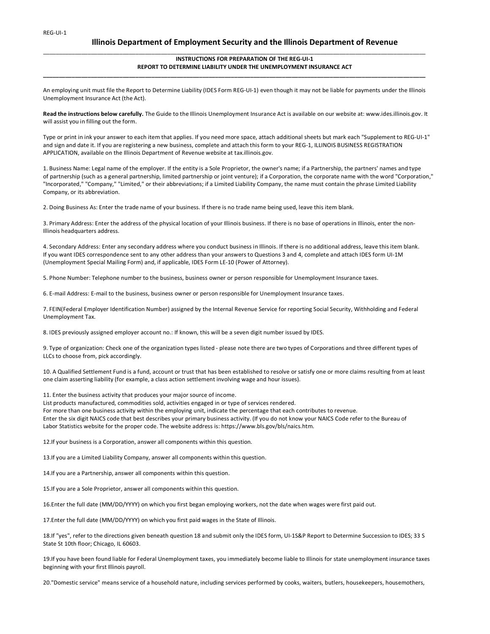## **Illinois Department of Employment Security and the Illinois Department of Revenue**

#### **INSTRUCTIONS FOR PREPARATION OF THE REG-UI-1 REPORT TO DETERMINE LIABILITY UNDER THE UNEMPLOYMENT INSURANCE ACT**

An employing unit must file the Report to Determine Liability (IDES Form REG-UI-1) even though it may not be liable for payments under the Illinois Unemployment Insurance Act (the Act).

**\_\_\_\_\_\_\_\_\_\_\_\_\_\_\_\_\_\_\_\_\_\_\_\_\_\_\_\_\_\_\_\_\_\_\_\_\_\_\_\_\_\_\_\_\_\_\_\_\_\_\_\_\_\_\_\_\_\_\_\_\_\_\_\_\_\_\_\_\_\_\_\_\_\_\_\_\_\_\_\_\_\_\_\_\_\_\_\_\_\_\_\_\_\_\_\_\_\_\_\_\_\_\_\_\_\_\_\_\_\_\_\_\_\_\_\_\_\_\_\_**

\_\_\_\_\_\_\_\_\_\_\_\_\_\_\_\_\_\_\_\_\_\_\_\_\_\_\_\_\_\_\_\_\_\_\_\_\_\_\_\_\_\_\_\_\_\_\_\_\_\_\_\_\_\_\_\_\_\_\_\_\_\_\_\_\_\_\_\_\_\_\_\_\_\_\_\_\_\_\_\_\_\_\_\_\_\_\_\_\_\_\_\_\_\_\_\_\_\_\_\_\_\_\_\_\_\_\_\_\_\_\_\_\_\_\_\_\_\_\_\_

**Read the instructions below carefully.** The Guide to the Illinois Unemployment Insurance Act is available on our website at: www.ides.illinois.gov. It will assist you in filling out the form.

Type or print in ink your answer to each item that applies. If you need more space, attach additional sheets but mark each "Supplement to REG-UI-1" and sign and date it. If you are registering a new business, complete and attach this form to your REG-1, ILLINOIS BUSINESS REGISTRATION APPLICATION, available on the Illinois Department of Revenue website at tax.illinois.gov.

1. Business Name: Legal name of the employer. If the entity is a Sole Proprietor, the owner's name; if a Partnership, the partners' names and type of partnership (such as a general partnership, limited partnership or joint venture); if a Corporation, the corporate name with the word "Corporation," "Incorporated," "Company," "Limited," or their abbreviations; if a Limited Liability Company, the name must contain the phrase Limited Liability Company, or its abbreviation.

2. Doing Business As: Enter the trade name of your business. If there is no trade name being used, leave this item blank.

3. Primary Address: Enter the address of the physical location of your Illinois business. If there is no base of operations in Illinois, enter the non-Illinois headquarters address.

4. Secondary Address: Enter any secondary address where you conduct business in Illinois. If there is no additional address, leave this item blank. If you want IDES correspondence sent to any other address than your answers to Questions 3 and 4, complete and attach IDES form UI-1M (Unemployment Special Mailing Form) and, if applicable, IDES Form LE-10 (Power of Attorney).

5. Phone Number: Telephone number to the business, business owner or person responsible for Unemployment Insurance taxes.

6. E-mail Address: E-mail to the business, business owner or person responsible for Unemployment Insurance taxes.

7. FEIN(Federal Employer Identification Number) assigned by the Internal Revenue Service for reporting Social Security, Withholding and Federal Unemployment Tax.

8. IDES previously assigned employer account no.: If known, this will be a seven digit number issued by IDES.

9. Type of organization: Check one of the organization types listed - please note there are two types of Corporations and three different types of LLCs to choose from, pick accordingly.

10. A Qualified Settlement Fund is a fund, account or trust that has been established to resolve or satisfy one or more claims resulting from at least one claim asserting liability (for example, a class action settlement involving wage and hour issues).

11. Enter the business activity that produces your major source of income.

List products manufactured, commodities sold, activities engaged in or type of services rendered. For more than one business activity within the employing unit, indicate the percentage that each contributes to revenue. Enter the six digit NAICS code that best describes your primary business activity. (If you do not know your NAICS Code refer to the Bureau of Labor Statistics website for the proper code. The website address is: https://www.bls.gov/bls/naics.htm.

12.If your business is a Corporation, answer all components within this question.

13.If you are a Limited Liability Company, answer all components within this question.

14.If you are a Partnership, answer all components within this question.

15.If you are a Sole Proprietor, answer all components within this question.

16.Enter the full date (MM/DD/YYYY) on which you first began employing workers, not the date when wages were first paid out.

17.Enter the full date (MM/DD/YYYY) on which you first paid wages in the State of Illinois.

18.If "yes", refer to the directions given beneath question 18 and submit only the IDES form, UI-1S&P Report to Determine Succession to IDES; 33 S State St 10th floor; Chicago, IL 60603.

19.If you have been found liable for Federal Unemployment taxes, you immediately become liable to Illinois for state unemployment insurance taxes beginning with your first Illinois payroll.

20."Domestic service" means service of a household nature, including services performed by cooks, waiters, butlers, housekeepers, housemothers,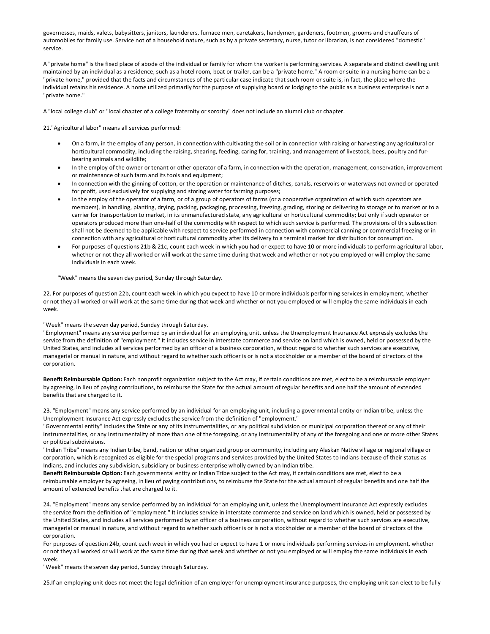governesses, maids, valets, babysitters, janitors, launderers, furnace men, caretakers, handymen, gardeners, footmen, grooms and chauffeurs of automobiles for family use. Service not of a household nature, such as by a private secretary, nurse, tutor or librarian, is not considered "domestic" service.

A "private home" is the fixed place of abode of the individual or family for whom the worker is performing services. A separate and distinct dwelling unit maintained by an individual as a residence, such as a hotel room, boat or trailer, can be a "private home." A room or suite in a nursing home can be a "private home," provided that the facts and circumstances of the particular case indicate that such room or suite is, in fact, the place where the individual retains his residence. A home utilized primarily for the purpose of supplying board or lodging to the public as a business enterprise is not a "private home."

A "local college club" or "local chapter of a college fraternity or sorority" does not include an alumni club or chapter.

21."Agricultural labor" means all services performed:

- On a farm, in the employ of any person, in connection with cultivating the soil or in connection with raising or harvesting any agricultural or horticultural commodity, including the raising, shearing, feeding, caring for, training, and management of livestock, bees, poultry and furbearing animals and wildlife;
- In the employ of the owner or tenant or other operator of a farm, in connection with the operation, management, conservation, improvement or maintenance of such farm and its tools and equipment;
- In connection with the ginning of cotton, or the operation or maintenance of ditches, canals, reservoirs or waterways not owned or operated for profit, used exclusively for supplying and storing water for farming purposes;
- In the employ of the operator of a farm, or of a group of operators of farms (or a cooperative organization of which such operators are members), in handling, planting, drying, packing, packaging, processing, freezing, grading, storing or delivering to storage or to market or to a carrier for transportation to market, in its unmanufactured state, any agricultural or horticultural commodity; but only if such operator or operators produced more than one-half of the commodity with respect to which such service is performed. The provisions of this subsection shall not be deemed to be applicable with respect to service performed in connection with commercial canning or commercial freezing or in connection with any agricultural or horticultural commodity after its delivery to a terminal market for distribution for consumption.
- For purposes of questions 21b & 21c, count each week in which you had or expect to have 10 or more individuals to perform agricultural labor, whether or not they all worked or will work at the same time during that week and whether or not you employed or will employ the same individuals in each week.

"Week" means the seven day period, Sunday through Saturday.

22. For purposes of question 22b, count each week in which you expect to have 10 or more individuals performing services in employment, whether or not they all worked or will work at the same time during that week and whether or not you employed or will employ the same individuals in each week.

#### "Week" means the seven day period, Sunday through Saturday.

"Employment" means any service performed by an individual for an employing unit, unless the Unemployment Insurance Act expressly excludes the service from the definition of "employment." It includes service in interstate commerce and service on land which is owned, held or possessed by the United States, and includes all services performed by an officer of a business corporation, without regard to whether such services are executive, managerial or manual in nature, and without regard to whether such officer is or is not a stockholder or a member of the board of directors of the corporation.

**Benefit Reimbursable Option:** Each nonprofit organization subject to the Act may, if certain conditions are met, elect to be a reimbursable employer by agreeing, in lieu of paying contributions, to reimburse the State for the actual amount of regular benefits and one half the amount of extended benefits that are charged to it.

23. "Employment" means any service performed by an individual for an employing unit, including a governmental entity or Indian tribe, unless the Unemployment Insurance Act expressly excludes the service from the definition of "employment."

"Governmental entity" includes the State or any of its instrumentalities, or any political subdivision or municipal corporation thereof or any of their instrumentalities, or any instrumentality of more than one of the foregoing, or any instrumentality of any of the foregoing and one or more other States or political subdivisions.

"Indian Tribe" means any Indian tribe, band, nation or other organized group or community, including any Alaskan Native village or regional village or corporation, which is recognized as eligible for the special programs and services provided by the United States to Indians because of their status as Indians, and includes any subdivision, subsidiary or business enterprise wholly owned by an Indian tribe.

**Benefit Reimbursable Option:** Each governmental entity or Indian Tribe subject to the Act may, if certain conditions are met, elect to be a reimbursable employer by agreeing, in lieu of paying contributions, to reimburse the State for the actual amount of regular benefits and one half the amount of extended benefits that are charged to it.

24. "Employment" means any service performed by an individual for an employing unit, unless the Unemployment Insurance Act expressly excludes the service from the definition of "employment." It includes service in interstate commerce and service on land which is owned, held or possessed by the United States, and includes all services performed by an officer of a business corporation, without regard to whether such services are executive, managerial or manual in nature, and without regard to whether such officer is or is not a stockholder or a member of the board of directors of the corporation.

For purposes of question 24b, count each week in which you had or expect to have 1 or more individuals performing services in employment, whether or not they all worked or will work at the same time during that week and whether or not you employed or will employ the same individuals in each week.

"Week" means the seven day period, Sunday through Saturday.

25.If an employing unit does not meet the legal definition of an employer for unemployment insurance purposes, the employing unit can elect to be fully